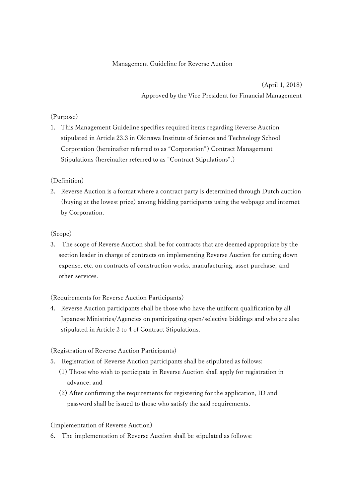## Management Guideline for Reverse Auction

 (April 1, 2018) Approved by the Vice President for Financial Management

## (Purpose)

1. This Management Guideline specifies required items regarding Reverse Auction stipulated in Article 23.3 in Okinawa Institute of Science and Technology School Corporation (hereinafter referred to as "Corporation") Contract Management Stipulations (hereinafter referred to as "Contract Stipulations".)

#### (Definition)

2. Reverse Auction is a format where a contract party is determined through Dutch auction (buying at the lowest price) among bidding participants using the webpage and internet by Corporation.

#### (Scope)

3. The scope of Reverse Auction shall be for contracts that are deemed appropriate by the section leader in charge of contracts on implementing Reverse Auction for cutting down expense, etc. on contracts of construction works, manufacturing, asset purchase, and other services.

# (Requirements for Reverse Auction Participants)

4. Reverse Auction participants shall be those who have the uniform qualification by all Japanese Ministries/Agencies on participating open/selective biddings and who are also stipulated in Article 2 to 4 of Contract Stipulations.

(Registration of Reverse Auction Participants)

- 5. Registration of Reverse Auction participants shall be stipulated as follows:
	- (1) Those who wish to participate in Reverse Auction shall apply for registration in advance; and
	- (2) After confirming the requirements for registering for the application, ID and password shall be issued to those who satisfy the said requirements.

#### (Implementation of Reverse Auction)

6. The implementation of Reverse Auction shall be stipulated as follows: